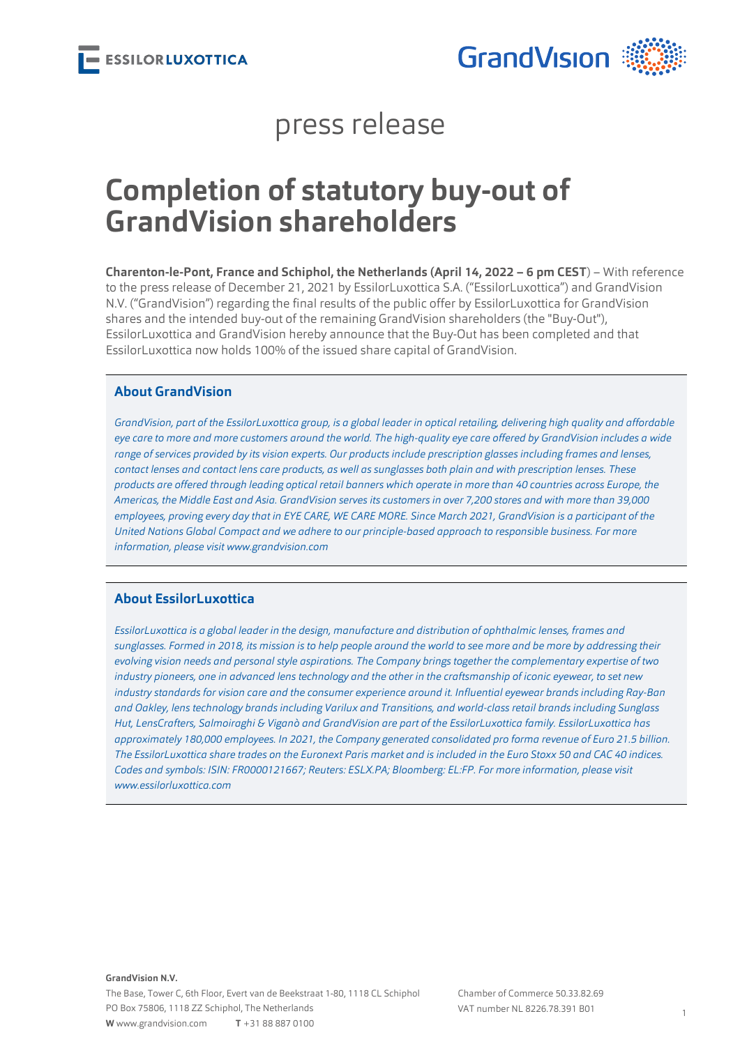

### press release

# **Completion of statutory buy-out of GrandVision shareholders**

**Charenton-le-Pont, France and Schiphol, the Netherlands (April 14, 2022 – 6 pm CEST**) – With reference to the press release of December 21, 2021 by EssilorLuxottica S.A. ("EssilorLuxottica") and GrandVision N.V. ("GrandVision") regarding the final results of the public offer by EssilorLuxottica for GrandVision shares and the intended buy-out of the remaining GrandVision shareholders (the "Buy-Out"), EssilorLuxottica and GrandVision hereby announce that the Buy-Out has been completed and that EssilorLuxottica now holds 100% of the issued share capital of GrandVision.

#### **About GrandVision**

*GrandVision, part of the EssilorLuxottica group, is a global leader in optical retailing, delivering high quality and affordable eye care to more and more customers around the world. The high-quality eye care offered by GrandVision includes a wide range of services provided by its vision experts. Our products include prescription glasses including frames and lenses, contact lenses and contact lens care products, as well as sunglasses both plain and with prescription lenses. These products are offered through leading optical retail banners which operate in more than 40 countries across Europe, the Americas, the Middle East and Asia. GrandVision serves its customers in over 7,200 stores and with more than 39,000 employees, proving every day that in EYE CARE, WE CARE MORE. Since March 2021, GrandVision is a participant of the United Nations Global Compact and we adhere to our principle-based approach to responsible business. For more information, please visit [www.grandvision.com](http://www.grandvision.com/)*

#### **About EssilorLuxottica**

*EssilorLuxottica is a global leader in the design, manufacture and distribution of ophthalmic lenses, frames and sunglasses. Formed in 2018, its mission is to help people around the world to see more and be more by addressing their evolving vision needs and personal style aspirations. The Company brings together the complementary expertise of two industry pioneers, one in advanced lens technology and the other in the craftsmanship of iconic eyewear, to set new industry standards for vision care and the consumer experience around it. Influential eyewear brands including Ray-Ban and Oakley, lens technology brands including Varilux and Transitions, and world-class retail brands including Sunglass Hut, LensCrafters, Salmoiraghi & Viganò and GrandVision are part of the EssilorLuxottica family. EssilorLuxottica has approximately 180,000 employees. In 2021, the Company generated consolidated pro forma revenue of Euro 21.5 billion. The EssilorLuxottica share trades on the Euronext Paris market and is included in the Euro Stoxx 50 and CAC 40 indices. Codes and symbols: ISIN: FR0000121667; Reuters: ESLX.PA; Bloomberg: EL:FP. For more information, please visit [www.essilorluxottica.com](http://www.essilorluxottica.com)*